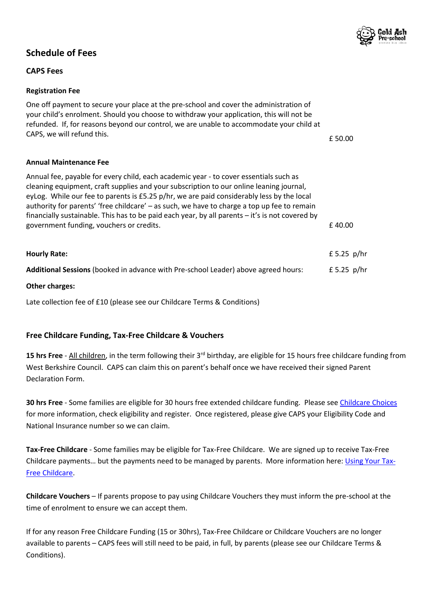

# **Schedule of Fees**

# **CAPS Fees**

## **Registration Fee**

One off payment to secure your place at the pre-school and cover the administration of your child's enrolment. Should you choose to withdraw your application, this will not be refunded. If, for reasons beyond our control, we are unable to accommodate your child at CAPS, we will refund this.  $\epsilon$  50.00

## **Annual Maintenance Fee**

| Annual fee, payable for every child, each academic year - to cover essentials such as           |               |
|-------------------------------------------------------------------------------------------------|---------------|
| cleaning equipment, craft supplies and your subscription to our online leaning journal,         |               |
| eyLog. While our fee to parents is £5.25 p/hr, we are paid considerably less by the local       |               |
| authority for parents' 'free childcare' - as such, we have to charge a top up fee to remain     |               |
| financially sustainable. This has to be paid each year, by all parents - it's is not covered by |               |
| government funding, vouchers or credits.                                                        | £40.00        |
|                                                                                                 |               |
| <b>Hourly Rate:</b>                                                                             | £ 5.25 $p/hr$ |
| Additional Sessions (booked in advance with Pre-school Leader) above agreed hours:              | £ 5.25 $p/hr$ |
|                                                                                                 |               |

#### **Other charges:**

Late collection fee of £10 (please see our Childcare Terms & Conditions)

# **Free Childcare Funding, Tax-Free Childcare & Vouchers**

**15 hrs Free** - All children, in the term following their 3rd birthday, are eligible for 15 hours free childcare funding from West Berkshire Council. CAPS can claim this on parent's behalf once we have received their signed Parent Declaration Form.

**30 hrs Free** - Some families are eligible for 30 hours free extended childcare funding. Please se[e Childcare Choices](https://www.childcarechoices.gov.uk/) for more information, check eligibility and register. Once registered, please give CAPS your Eligibility Code and National Insurance number so we can claim.

**Tax-Free Childcare** - Some families may be eligible for Tax-Free Childcare. We are signed up to receive Tax-Free Childcare payments... but the payments need to be managed by parents. More information here: *Using Your Tax-*[Free Childcare.](https://www.childcarechoices.gov.uk/how-to-use-tax-free-childcare/)

**Childcare Vouchers** – If parents propose to pay using Childcare Vouchers they must inform the pre-school at the time of enrolment to ensure we can accept them.

If for any reason Free Childcare Funding (15 or 30hrs), Tax-Free Childcare or Childcare Vouchers are no longer available to parents – CAPS fees will still need to be paid, in full, by parents (please see our Childcare Terms & Conditions).